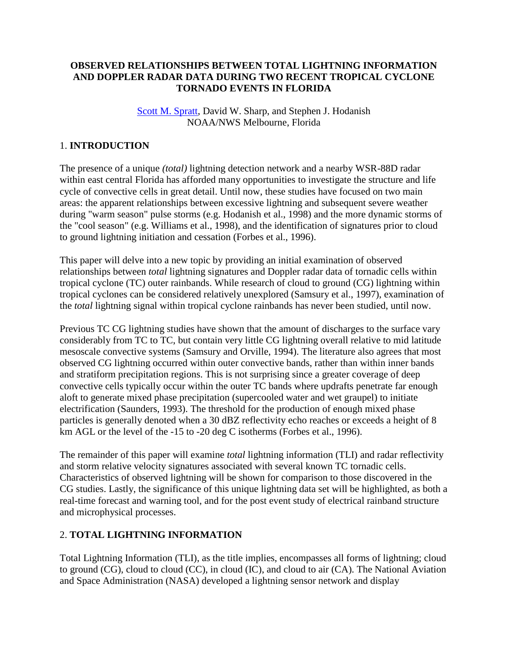## **OBSERVED RELATIONSHIPS BETWEEN TOTAL LIGHTNING INFORMATION AND DOPPLER RADAR DATA DURING TWO RECENT TROPICAL CYCLONE TORNADO EVENTS IN FLORIDA**

### [Scott M. Spratt,](mailto:scott.spratt@noaa.gov) David W. Sharp, and Stephen J. Hodanish NOAA/NWS Melbourne, Florida

# 1. **INTRODUCTION**

The presence of a unique *(total)* lightning detection network and a nearby WSR-88D radar within east central Florida has afforded many opportunities to investigate the structure and life cycle of convective cells in great detail. Until now, these studies have focused on two main areas: the apparent relationships between excessive lightning and subsequent severe weather during "warm season" pulse storms (e.g. Hodanish et al., 1998) and the more dynamic storms of the "cool season" (e.g. Williams et al., 1998), and the identification of signatures prior to cloud to ground lightning initiation and cessation (Forbes et al., 1996).

This paper will delve into a new topic by providing an initial examination of observed relationships between *total* lightning signatures and Doppler radar data of tornadic cells within tropical cyclone (TC) outer rainbands. While research of cloud to ground (CG) lightning within tropical cyclones can be considered relatively unexplored (Samsury et al., 1997), examination of the *total* lightning signal within tropical cyclone rainbands has never been studied, until now.

Previous TC CG lightning studies have shown that the amount of discharges to the surface vary considerably from TC to TC, but contain very little CG lightning overall relative to mid latitude mesoscale convective systems (Samsury and Orville, 1994). The literature also agrees that most observed CG lightning occurred within outer convective bands, rather than within inner bands and stratiform precipitation regions. This is not surprising since a greater coverage of deep convective cells typically occur within the outer TC bands where updrafts penetrate far enough aloft to generate mixed phase precipitation (supercooled water and wet graupel) to initiate electrification (Saunders, 1993). The threshold for the production of enough mixed phase particles is generally denoted when a 30 dBZ reflectivity echo reaches or exceeds a height of 8 km AGL or the level of the -15 to -20 deg C isotherms (Forbes et al., 1996).

The remainder of this paper will examine *total* lightning information (TLI) and radar reflectivity and storm relative velocity signatures associated with several known TC tornadic cells. Characteristics of observed lightning will be shown for comparison to those discovered in the CG studies. Lastly, the significance of this unique lightning data set will be highlighted, as both a real-time forecast and warning tool, and for the post event study of electrical rainband structure and microphysical processes.

## 2. **TOTAL LIGHTNING INFORMATION**

Total Lightning Information (TLI), as the title implies, encompasses all forms of lightning; cloud to ground (CG), cloud to cloud (CC), in cloud (IC), and cloud to air (CA). The National Aviation and Space Administration (NASA) developed a lightning sensor network and display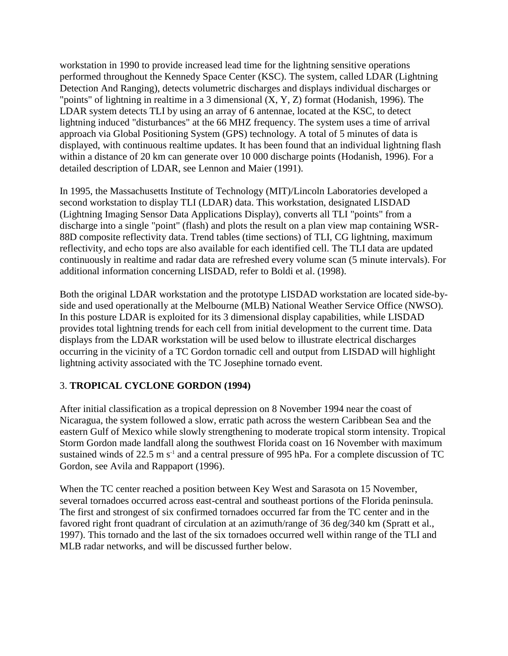workstation in 1990 to provide increased lead time for the lightning sensitive operations performed throughout the Kennedy Space Center (KSC). The system, called LDAR (Lightning Detection And Ranging), detects volumetric discharges and displays individual discharges or "points" of lightning in realtime in a 3 dimensional (X, Y, Z) format (Hodanish, 1996). The LDAR system detects TLI by using an array of 6 antennae, located at the KSC, to detect lightning induced "disturbances" at the 66 MHZ frequency. The system uses a time of arrival approach via Global Positioning System (GPS) technology. A total of 5 minutes of data is displayed, with continuous realtime updates. It has been found that an individual lightning flash within a distance of 20 km can generate over 10 000 discharge points (Hodanish, 1996). For a detailed description of LDAR, see Lennon and Maier (1991).

In 1995, the Massachusetts Institute of Technology (MIT)/Lincoln Laboratories developed a second workstation to display TLI (LDAR) data. This workstation, designated LISDAD (Lightning Imaging Sensor Data Applications Display), converts all TLI "points" from a discharge into a single "point" (flash) and plots the result on a plan view map containing WSR-88D composite reflectivity data. Trend tables (time sections) of TLI, CG lightning, maximum reflectivity, and echo tops are also available for each identified cell. The TLI data are updated continuously in realtime and radar data are refreshed every volume scan (5 minute intervals). For additional information concerning LISDAD, refer to Boldi et al. (1998).

Both the original LDAR workstation and the prototype LISDAD workstation are located side-byside and used operationally at the Melbourne (MLB) National Weather Service Office (NWSO). In this posture LDAR is exploited for its 3 dimensional display capabilities, while LISDAD provides total lightning trends for each cell from initial development to the current time. Data displays from the LDAR workstation will be used below to illustrate electrical discharges occurring in the vicinity of a TC Gordon tornadic cell and output from LISDAD will highlight lightning activity associated with the TC Josephine tornado event.

# 3. **TROPICAL CYCLONE GORDON (1994)**

After initial classification as a tropical depression on 8 November 1994 near the coast of Nicaragua, the system followed a slow, erratic path across the western Caribbean Sea and the eastern Gulf of Mexico while slowly strengthening to moderate tropical storm intensity. Tropical Storm Gordon made landfall along the southwest Florida coast on 16 November with maximum sustained winds of 22.5 m  $s^{-1}$  and a central pressure of 995 hPa. For a complete discussion of TC Gordon, see Avila and Rappaport (1996).

When the TC center reached a position between Key West and Sarasota on 15 November, several tornadoes occurred across east-central and southeast portions of the Florida peninsula. The first and strongest of six confirmed tornadoes occurred far from the TC center and in the favored right front quadrant of circulation at an azimuth/range of 36 deg/340 km (Spratt et al., 1997). This tornado and the last of the six tornadoes occurred well within range of the TLI and MLB radar networks, and will be discussed further below.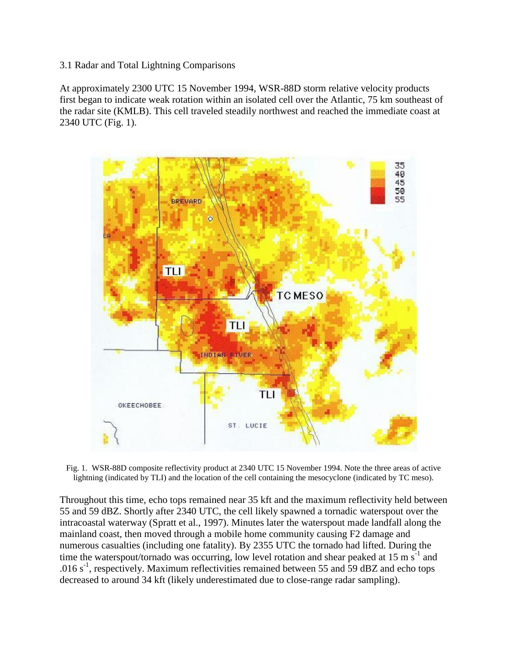3.1 Radar and Total Lightning Comparisons

At approximately 2300 UTC 15 November 1994, WSR-88D storm relative velocity products first began to indicate weak rotation within an isolated cell over the Atlantic, 75 km southeast of the radar site (KMLB). This cell traveled steadily northwest and reached the immediate coast at 2340 UTC (Fig. 1).



Fig. 1. WSR-88D composite reflectivity product at 2340 UTC 15 November 1994. Note the three areas of active lightning (indicated by TLI) and the location of the cell containing the mesocyclone (indicated by TC meso).

Throughout this time, echo tops remained near 35 kft and the maximum reflectivity held between 55 and 59 dBZ. Shortly after 2340 UTC, the cell likely spawned a tornadic waterspout over the intracoastal waterway (Spratt et al., 1997). Minutes later the waterspout made landfall along the mainland coast, then moved through a mobile home community causing F2 damage and numerous casualties (including one fatality). By 2355 UTC the tornado had lifted. During the time the waterspout/tornado was occurring, low level rotation and shear peaked at 15 m  $s^{-1}$  and .016  $s^{-1}$ , respectively. Maximum reflectivities remained between 55 and 59 dBZ and echo tops decreased to around 34 kft (likely underestimated due to close-range radar sampling).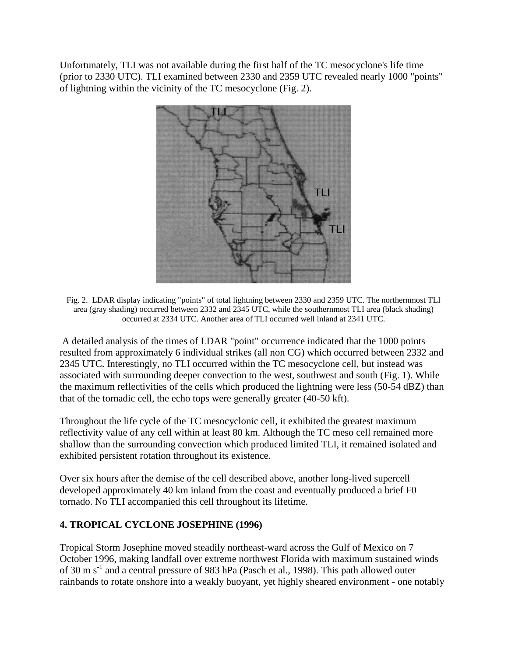Unfortunately, TLI was not available during the first half of the TC mesocyclone's life time (prior to 2330 UTC). TLI examined between 2330 and 2359 UTC revealed nearly 1000 "points" of lightning within the vicinity of the TC mesocyclone (Fig. 2).



Fig. 2. LDAR display indicating "points" of total lightning between 2330 and 2359 UTC. The northernmost TLI area (gray shading) occurred between 2332 and 2345 UTC, while the southernmost TLI area (black shading) occurred at 2334 UTC. Another area of TLI occurred well inland at 2341 UTC.

A detailed analysis of the times of LDAR "point" occurrence indicated that the 1000 points resulted from approximately 6 individual strikes (all non CG) which occurred between 2332 and 2345 UTC. Interestingly, no TLI occurred within the TC mesocyclone cell, but instead was associated with surrounding deeper convection to the west, southwest and south (Fig. 1). While the maximum reflectivities of the cells which produced the lightning were less (50-54 dBZ) than that of the tornadic cell, the echo tops were generally greater (40-50 kft).

Throughout the life cycle of the TC mesocyclonic cell, it exhibited the greatest maximum reflectivity value of any cell within at least 80 km. Although the TC meso cell remained more shallow than the surrounding convection which produced limited TLI, it remained isolated and exhibited persistent rotation throughout its existence.

Over six hours after the demise of the cell described above, another long-lived supercell developed approximately 40 km inland from the coast and eventually produced a brief F0 tornado. No TLI accompanied this cell throughout its lifetime.

## **4. TROPICAL CYCLONE JOSEPHINE (1996)**

Tropical Storm Josephine moved steadily northeast-ward across the Gulf of Mexico on 7 October 1996, making landfall over extreme northwest Florida with maximum sustained winds of 30 m s<sup>-1</sup> and a central pressure of 983 hPa (Pasch et al., 1998). This path allowed outer rainbands to rotate onshore into a weakly buoyant, yet highly sheared environment - one notably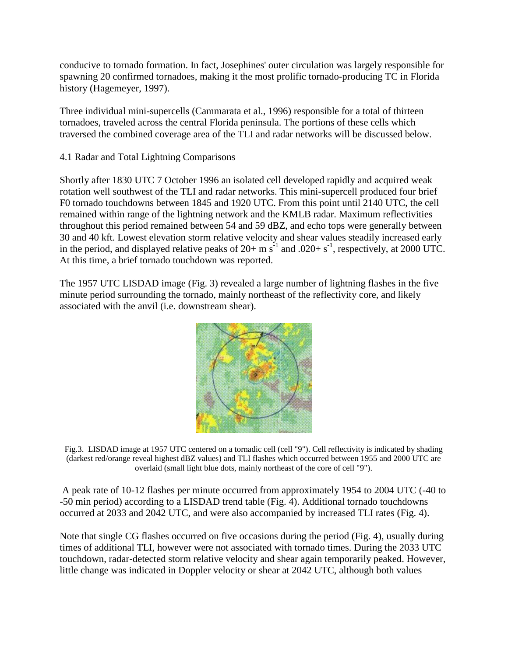conducive to tornado formation. In fact, Josephines' outer circulation was largely responsible for spawning 20 confirmed tornadoes, making it the most prolific tornado-producing TC in Florida history (Hagemeyer, 1997).

Three individual mini-supercells (Cammarata et al., 1996) responsible for a total of thirteen tornadoes, traveled across the central Florida peninsula. The portions of these cells which traversed the combined coverage area of the TLI and radar networks will be discussed below.

4.1 Radar and Total Lightning Comparisons

Shortly after 1830 UTC 7 October 1996 an isolated cell developed rapidly and acquired weak rotation well southwest of the TLI and radar networks. This mini-supercell produced four brief F0 tornado touchdowns between 1845 and 1920 UTC. From this point until 2140 UTC, the cell remained within range of the lightning network and the KMLB radar. Maximum reflectivities throughout this period remained between 54 and 59 dBZ, and echo tops were generally between 30 and 40 kft. Lowest elevation storm relative velocity and shear values steadily increased early in the period, and displayed relative peaks of  $20+$  m s<sup>-1</sup> and  $.020+$  s<sup>-1</sup>, respectively, at 2000 UTC. At this time, a brief tornado touchdown was reported.

The 1957 UTC LISDAD image (Fig. 3) revealed a large number of lightning flashes in the five minute period surrounding the tornado, mainly northeast of the reflectivity core, and likely associated with the anvil (i.e. downstream shear).



Fig.3. LISDAD image at 1957 UTC centered on a tornadic cell (cell "9"). Cell reflectivity is indicated by shading (darkest red/orange reveal highest dBZ values) and TLI flashes which occurred between 1955 and 2000 UTC are overlaid (small light blue dots, mainly northeast of the core of cell "9").

A peak rate of 10-12 flashes per minute occurred from approximately 1954 to 2004 UTC (-40 to -50 min period) according to a LISDAD trend table (Fig. 4). Additional tornado touchdowns occurred at 2033 and 2042 UTC, and were also accompanied by increased TLI rates (Fig. 4).

Note that single CG flashes occurred on five occasions during the period (Fig. 4), usually during times of additional TLI, however were not associated with tornado times. During the 2033 UTC touchdown, radar-detected storm relative velocity and shear again temporarily peaked. However, little change was indicated in Doppler velocity or shear at 2042 UTC, although both values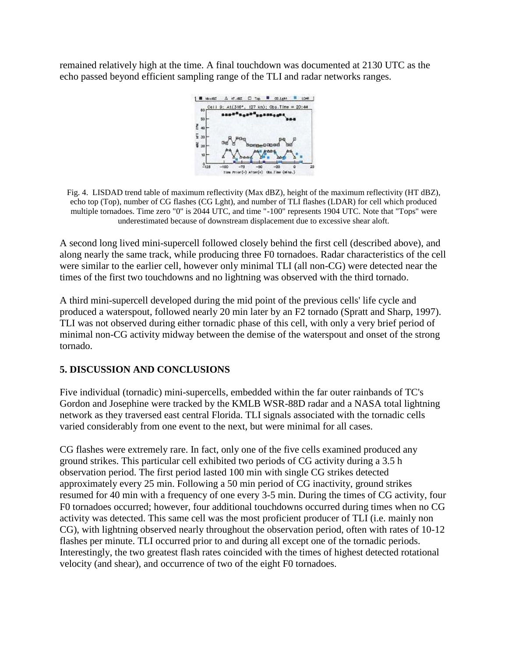remained relatively high at the time. A final touchdown was documented at 2130 UTC as the echo passed beyond efficient sampling range of the TLI and radar networks ranges.



Fig. 4. LISDAD trend table of maximum reflectivity (Max dBZ), height of the maximum reflectivity (HT dBZ), echo top (Top), number of CG flashes (CG Lght), and number of TLI flashes (LDAR) for cell which produced multiple tornadoes. Time zero "0" is 2044 UTC, and time "-100" represents 1904 UTC. Note that "Tops" were underestimated because of downstream displacement due to excessive shear aloft.

A second long lived mini-supercell followed closely behind the first cell (described above), and along nearly the same track, while producing three F0 tornadoes. Radar characteristics of the cell were similar to the earlier cell, however only minimal TLI (all non-CG) were detected near the times of the first two touchdowns and no lightning was observed with the third tornado.

A third mini-supercell developed during the mid point of the previous cells' life cycle and produced a waterspout, followed nearly 20 min later by an F2 tornado (Spratt and Sharp, 1997). TLI was not observed during either tornadic phase of this cell, with only a very brief period of minimal non-CG activity midway between the demise of the waterspout and onset of the strong tornado.

## **5. DISCUSSION AND CONCLUSIONS**

Five individual (tornadic) mini-supercells, embedded within the far outer rainbands of TC's Gordon and Josephine were tracked by the KMLB WSR-88D radar and a NASA total lightning network as they traversed east central Florida. TLI signals associated with the tornadic cells varied considerably from one event to the next, but were minimal for all cases.

CG flashes were extremely rare. In fact, only one of the five cells examined produced any ground strikes. This particular cell exhibited two periods of CG activity during a 3.5 h observation period. The first period lasted 100 min with single CG strikes detected approximately every 25 min. Following a 50 min period of CG inactivity, ground strikes resumed for 40 min with a frequency of one every 3-5 min. During the times of CG activity, four F0 tornadoes occurred; however, four additional touchdowns occurred during times when no CG activity was detected. This same cell was the most proficient producer of TLI (i.e. mainly non CG), with lightning observed nearly throughout the observation period, often with rates of 10-12 flashes per minute. TLI occurred prior to and during all except one of the tornadic periods. Interestingly, the two greatest flash rates coincided with the times of highest detected rotational velocity (and shear), and occurrence of two of the eight F0 tornadoes.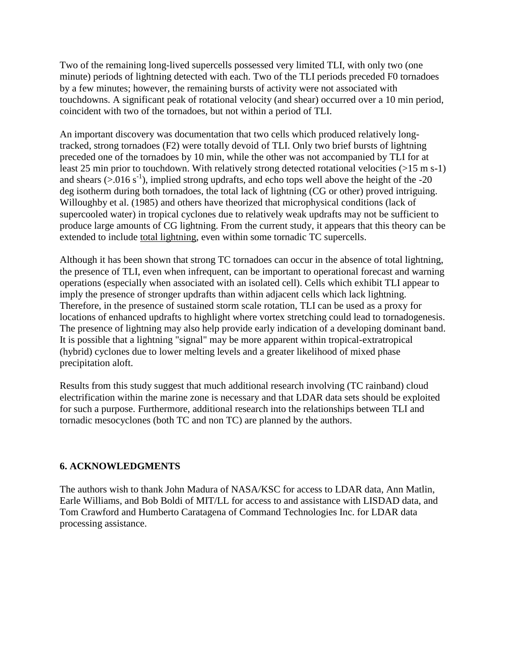Two of the remaining long-lived supercells possessed very limited TLI, with only two (one minute) periods of lightning detected with each. Two of the TLI periods preceded F0 tornadoes by a few minutes; however, the remaining bursts of activity were not associated with touchdowns. A significant peak of rotational velocity (and shear) occurred over a 10 min period, coincident with two of the tornadoes, but not within a period of TLI.

An important discovery was documentation that two cells which produced relatively longtracked, strong tornadoes (F2) were totally devoid of TLI. Only two brief bursts of lightning preceded one of the tornadoes by 10 min, while the other was not accompanied by TLI for at least 25 min prior to touchdown. With relatively strong detected rotational velocities (>15 m s-1) and shears  $(>0.016 \text{ s}^{-1})$ , implied strong updrafts, and echo tops well above the height of the -20 deg isotherm during both tornadoes, the total lack of lightning (CG or other) proved intriguing. Willoughby et al. (1985) and others have theorized that microphysical conditions (lack of supercooled water) in tropical cyclones due to relatively weak updrafts may not be sufficient to produce large amounts of CG lightning. From the current study, it appears that this theory can be extended to include total lightning, even within some tornadic TC supercells.

Although it has been shown that strong TC tornadoes can occur in the absence of total lightning, the presence of TLI, even when infrequent, can be important to operational forecast and warning operations (especially when associated with an isolated cell). Cells which exhibit TLI appear to imply the presence of stronger updrafts than within adjacent cells which lack lightning. Therefore, in the presence of sustained storm scale rotation, TLI can be used as a proxy for locations of enhanced updrafts to highlight where vortex stretching could lead to tornadogenesis. The presence of lightning may also help provide early indication of a developing dominant band. It is possible that a lightning "signal" may be more apparent within tropical-extratropical (hybrid) cyclones due to lower melting levels and a greater likelihood of mixed phase precipitation aloft.

Results from this study suggest that much additional research involving (TC rainband) cloud electrification within the marine zone is necessary and that LDAR data sets should be exploited for such a purpose. Furthermore, additional research into the relationships between TLI and tornadic mesocyclones (both TC and non TC) are planned by the authors.

### **6. ACKNOWLEDGMENTS**

The authors wish to thank John Madura of NASA/KSC for access to LDAR data, Ann Matlin, Earle Williams, and Bob Boldi of MIT/LL for access to and assistance with LISDAD data, and Tom Crawford and Humberto Caratagena of Command Technologies Inc. for LDAR data processing assistance.